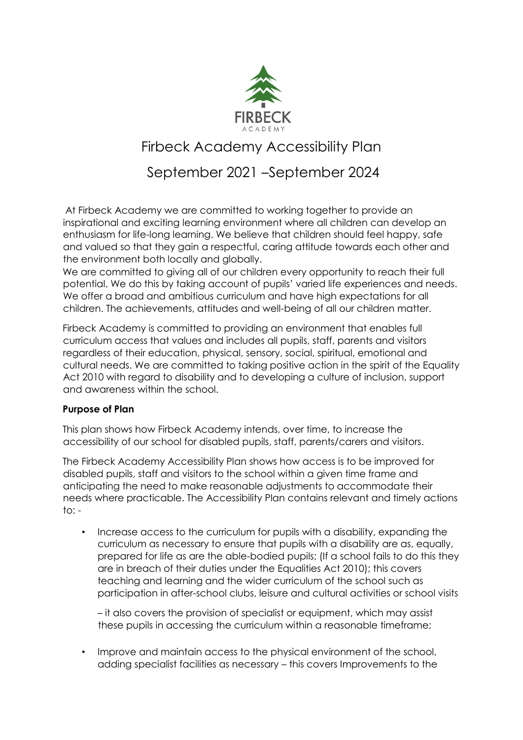

# Firbeck Academy Accessibility Plan

# September 2021 –September 2024

At Firbeck Academy we are committed to working together to provide an inspirational and exciting learning environment where all children can develop an enthusiasm for life-long learning. We believe that children should feel happy, safe and valued so that they gain a respectful, caring attitude towards each other and the environment both locally and globally.

We are committed to giving all of our children every opportunity to reach their full potential. We do this by taking account of pupils' varied life experiences and needs. We offer a broad and ambitious curriculum and have high expectations for all children. The achievements, attitudes and well-being of all our children matter.

Firbeck Academy is committed to providing an environment that enables full curriculum access that values and includes all pupils, staff, parents and visitors regardless of their education, physical, sensory, social, spiritual, emotional and cultural needs. We are committed to taking positive action in the spirit of the Equality Act 2010 with regard to disability and to developing a culture of inclusion, support and awareness within the school.

#### **Purpose of Plan**

This plan shows how Firbeck Academy intends, over time, to increase the accessibility of our school for disabled pupils, staff, parents/carers and visitors.

The Firbeck Academy Accessibility Plan shows how access is to be improved for disabled pupils, staff and visitors to the school within a given time frame and anticipating the need to make reasonable adjustments to accommodate their needs where practicable. The Accessibility Plan contains relevant and timely actions  $to: -$ 

• Increase access to the curriculum for pupils with a disability, expanding the curriculum as necessary to ensure that pupils with a disability are as, equally, prepared for life as are the able-bodied pupils; (If a school fails to do this they are in breach of their duties under the Equalities Act 2010); this covers teaching and learning and the wider curriculum of the school such as participation in after-school clubs, leisure and cultural activities or school visits

– it also covers the provision of specialist or equipment, which may assist these pupils in accessing the curriculum within a reasonable timeframe;

• Improve and maintain access to the physical environment of the school, adding specialist facilities as necessary – this covers Improvements to the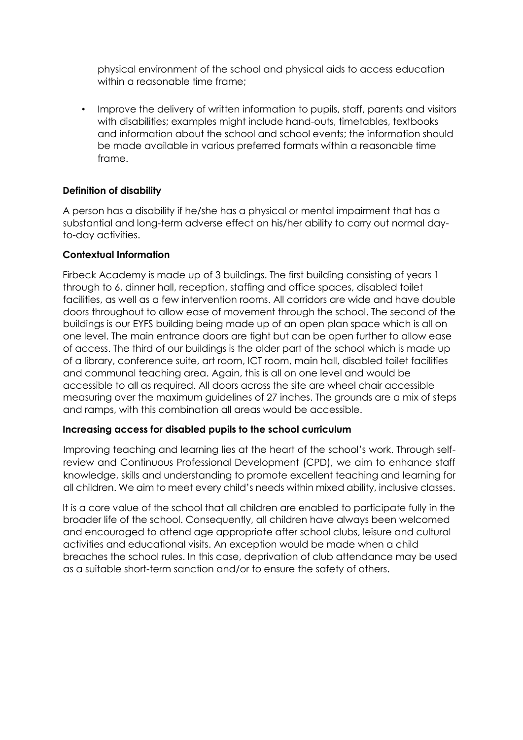physical environment of the school and physical aids to access education within a reasonable time frame:

• Improve the delivery of written information to pupils, staff, parents and visitors with disabilities; examples might include hand-outs, timetables, textbooks and information about the school and school events; the information should be made available in various preferred formats within a reasonable time frame.

#### **Definition of disability**

A person has a disability if he/she has a physical or mental impairment that has a substantial and long-term adverse effect on his/her ability to carry out normal dayto-day activities.

#### **Contextual Information**

Firbeck Academy is made up of 3 buildings. The first building consisting of years 1 through to 6, dinner hall, reception, staffing and office spaces, disabled toilet facilities, as well as a few intervention rooms. All corridors are wide and have double doors throughout to allow ease of movement through the school. The second of the buildings is our EYFS building being made up of an open plan space which is all on one level. The main entrance doors are tight but can be open further to allow ease of access. The third of our buildings is the older part of the school which is made up of a library, conference suite, art room, ICT room, main hall, disabled toilet facilities and communal teaching area. Again, this is all on one level and would be accessible to all as required. All doors across the site are wheel chair accessible measuring over the maximum guidelines of 27 inches. The grounds are a mix of steps and ramps, with this combination all areas would be accessible.

#### **Increasing access for disabled pupils to the school curriculum**

Improving teaching and learning lies at the heart of the school's work. Through selfreview and Continuous Professional Development (CPD), we aim to enhance staff knowledge, skills and understanding to promote excellent teaching and learning for all children. We aim to meet every child's needs within mixed ability, inclusive classes.

It is a core value of the school that all children are enabled to participate fully in the broader life of the school. Consequently, all children have always been welcomed and encouraged to attend age appropriate after school clubs, leisure and cultural activities and educational visits. An exception would be made when a child breaches the school rules. In this case, deprivation of club attendance may be used as a suitable short-term sanction and/or to ensure the safety of others.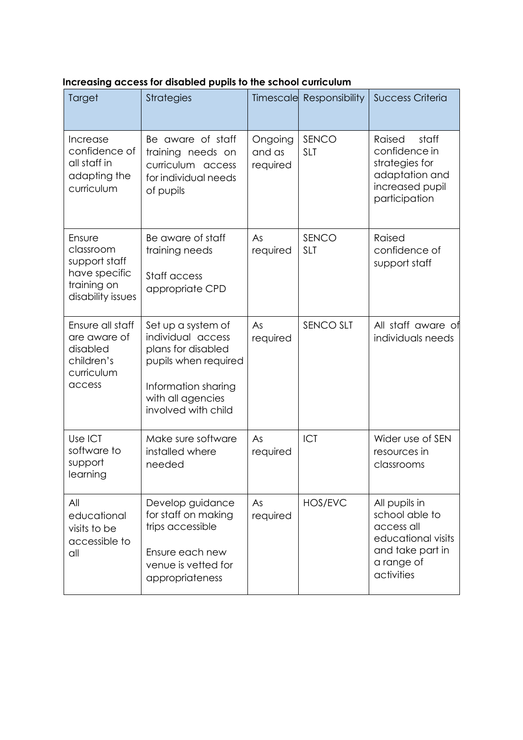| Target                                                                                    | <b>Strategies</b>                                                                                                                                        |                               | Timescale Responsibility | <b>Success Criteria</b>                                                                                             |
|-------------------------------------------------------------------------------------------|----------------------------------------------------------------------------------------------------------------------------------------------------------|-------------------------------|--------------------------|---------------------------------------------------------------------------------------------------------------------|
| Increase<br>confidence of<br>all staff in<br>adapting the<br>curriculum                   | Be aware of staff<br>training needs on<br>curriculum access<br>for individual needs<br>of pupils                                                         | Ongoing<br>and as<br>required | SENCO<br><b>SLT</b>      | Raised<br>staff<br>confidence in<br>strategies for<br>adaptation and<br>increased pupil<br>participation            |
| Ensure<br>classroom<br>support staff<br>have specific<br>training on<br>disability issues | Be aware of staff<br>training needs<br>Staff access<br>appropriate CPD                                                                                   | As<br>required                | SENCO<br><b>SLT</b>      | Raised<br>confidence of<br>support staff                                                                            |
| Ensure all staff<br>are aware of<br>disabled<br>children's<br>curriculum<br>access        | Set up a system of<br>individual access<br>plans for disabled<br>pupils when required<br>Information sharing<br>with all agencies<br>involved with child | As<br>required                | <b>SENCO SLT</b>         | All staff aware of<br>individuals needs                                                                             |
| Use ICT<br>software to<br>support<br>learning                                             | Make sure software<br>installed where<br>needed                                                                                                          | As<br>required                | ICT                      | Wider use of SEN<br>resources in<br>classrooms                                                                      |
| All<br>educational<br>visits to be<br>accessible to<br>all                                | Develop guidance<br>for staff on making<br>trips accessible<br>Ensure each new<br>venue is vetted for<br>appropriateness                                 | As<br>required                | HOS/EVC                  | All pupils in<br>school able to<br>access all<br>educational visits<br>and take part in<br>a range of<br>activities |

## **Increasing access for disabled pupils to the school curriculum**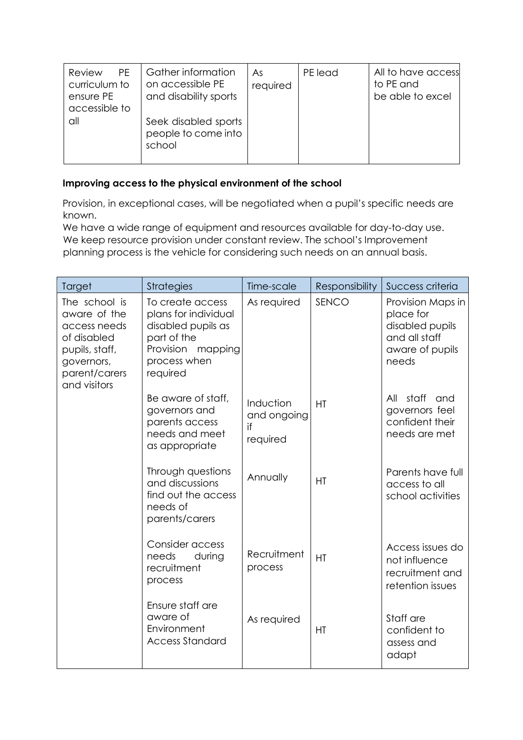| <b>PE</b><br>Review<br>curriculum to<br>ensure PE<br>accessible to | Gather information<br>on accessible PE<br>and disability sports | As<br>required | PE lead | All to have access<br>to PE and<br>be able to excel |
|--------------------------------------------------------------------|-----------------------------------------------------------------|----------------|---------|-----------------------------------------------------|
| all                                                                | Seek disabled sports<br>people to come into<br>school           |                |         |                                                     |

## **Improving access to the physical environment of the school**

Provision, in exceptional cases, will be negotiated when a pupil's specific needs are known.

We have a wide range of equipment and resources available for day-to-day use. We keep resource provision under constant review. The school's Improvement planning process is the vehicle for considering such needs on an annual basis.

| Target                                                                                                                        | <b>Strategies</b>                                                                                                              | Time-scale                                 | Responsibility | Success criteria                                                                               |
|-------------------------------------------------------------------------------------------------------------------------------|--------------------------------------------------------------------------------------------------------------------------------|--------------------------------------------|----------------|------------------------------------------------------------------------------------------------|
| The school is<br>aware of the<br>access needs<br>of disabled<br>pupils, staff,<br>governors,<br>parent/carers<br>and visitors | To create access<br>plans for individual<br>disabled pupils as<br>part of the<br>Provision mapping<br>process when<br>required | As required                                | SENCO          | Provision Maps in<br>place for<br>disabled pupils<br>and all staff<br>aware of pupils<br>needs |
|                                                                                                                               | Be aware of staff,<br>governors and<br>parents access<br>needs and meet<br>as appropriate                                      | Induction<br>and ongoing<br>if<br>required | HT             | staff<br>All<br>and<br>governors feel<br>confident their<br>needs are met                      |
|                                                                                                                               | Through questions<br>and discussions<br>find out the access<br>needs of<br>parents/carers                                      | Annually                                   | HT             | Parents have full<br>access to all<br>school activities                                        |
|                                                                                                                               | Consider access<br>needs<br>during<br>recruitment<br>process                                                                   | Recruitment<br>process                     | HT             | Access issues do<br>not influence<br>recruitment and<br>retention issues                       |
|                                                                                                                               | Ensure staff are<br>aware of<br>Environment<br><b>Access Standard</b>                                                          | As required                                | HT             | Staff are<br>confident to<br>assess and<br>adapt                                               |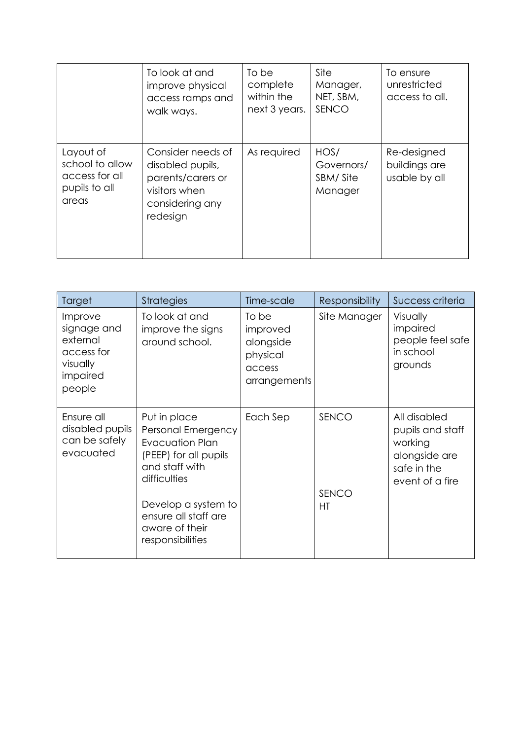|                                                                          | To look at and<br>improve physical<br>access ramps and<br>walk ways.                                       | To be<br>complete<br>within the<br>next 3 years. | Site<br>Manager,<br>NET, SBM,<br>SENCO    | To ensure<br>unrestricted<br>access to all.   |
|--------------------------------------------------------------------------|------------------------------------------------------------------------------------------------------------|--------------------------------------------------|-------------------------------------------|-----------------------------------------------|
| Layout of<br>school to allow<br>access for all<br>pupils to all<br>areas | Consider needs of<br>disabled pupils,<br>parents/carers or<br>visitors when<br>considering any<br>redesign | As required                                      | HOS/<br>Governors/<br>SBM/Site<br>Manager | Re-designed<br>buildings are<br>usable by all |

| Target                                                                             | <b>Strategies</b>                                                                                                                                                                                            | Time-scale                                                           | <b>Responsibility</b> | Success criteria                                                                               |
|------------------------------------------------------------------------------------|--------------------------------------------------------------------------------------------------------------------------------------------------------------------------------------------------------------|----------------------------------------------------------------------|-----------------------|------------------------------------------------------------------------------------------------|
| Improve<br>signage and<br>external<br>access for<br>visually<br>impaired<br>people | To look at and<br>improve the signs<br>around school.                                                                                                                                                        | To be<br>improved<br>alongside<br>physical<br>access<br>arrangements | Site Manager          | Visually<br>impaired<br>people feel safe<br>in school<br>grounds                               |
| Ensure all<br>disabled pupils<br>can be safely<br>evacuated                        | Put in place<br>Personal Emergency<br><b>Evacuation Plan</b><br>(PEEP) for all pupils<br>and staff with<br>difficulties<br>Develop a system to<br>ensure all staff are<br>aware of their<br>responsibilities | Each Sep                                                             | SENCO<br>SENCO<br>HT  | All disabled<br>pupils and staff<br>working<br>alongside are<br>safe in the<br>event of a fire |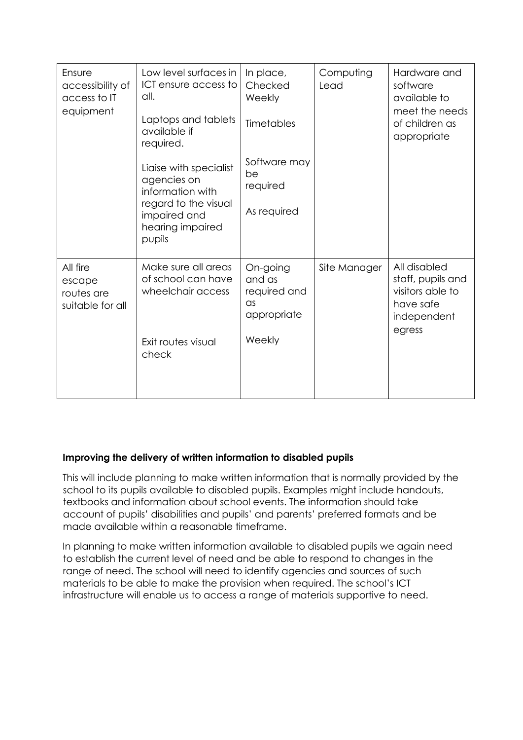| Ensure<br>accessibility of<br>access to IT<br>equipment | Low level surfaces in<br>ICT ensure access to<br>all.<br>Laptops and tablets<br>available if<br>required.                       | In place,<br>Checked<br>Weekly<br>Timetables                              | Computing<br>Lead | Hardware and<br>software<br>available to<br>meet the needs<br>of children as<br>appropriate |
|---------------------------------------------------------|---------------------------------------------------------------------------------------------------------------------------------|---------------------------------------------------------------------------|-------------------|---------------------------------------------------------------------------------------------|
|                                                         | Liaise with specialist<br>agencies on<br>information with<br>regard to the visual<br>impaired and<br>hearing impaired<br>pupils | Software may<br>be<br>required<br>As required                             |                   |                                                                                             |
| All fire<br>escape<br>routes are<br>suitable for all    | Make sure all areas<br>of school can have<br>wheelchair access<br>Exit routes visual<br>check                                   | On-going<br>and as<br>required and<br>$\alpha$ s<br>appropriate<br>Weekly | Site Manager      | All disabled<br>staff, pupils and<br>visitors able to<br>have safe<br>independent<br>egress |

### **Improving the delivery of written information to disabled pupils**

This will include planning to make written information that is normally provided by the school to its pupils available to disabled pupils. Examples might include handouts, textbooks and information about school events. The information should take account of pupils' disabilities and pupils' and parents' preferred formats and be made available within a reasonable timeframe.

In planning to make written information available to disabled pupils we again need to establish the current level of need and be able to respond to changes in the range of need. The school will need to identify agencies and sources of such materials to be able to make the provision when required. The school's ICT infrastructure will enable us to access a range of materials supportive to need.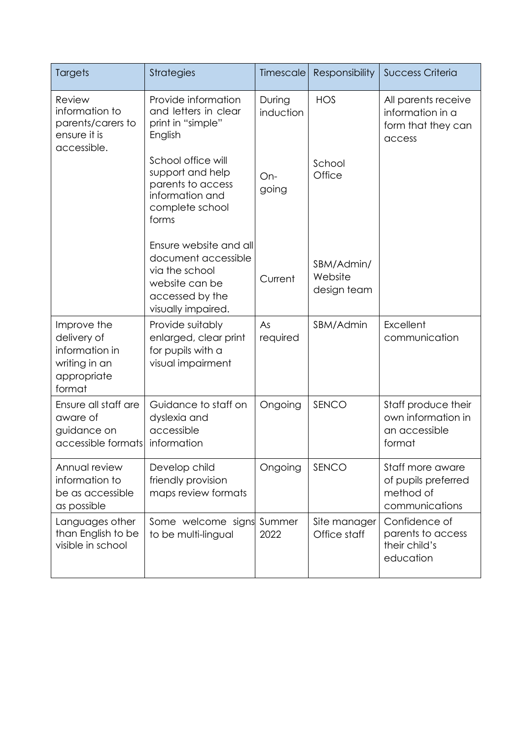| Targets                                                                                | <b>Strategies</b>                                                                                                                                                                         | Timescale                           | Responsibility                       | <b>Success Criteria</b>                                                 |
|----------------------------------------------------------------------------------------|-------------------------------------------------------------------------------------------------------------------------------------------------------------------------------------------|-------------------------------------|--------------------------------------|-------------------------------------------------------------------------|
| Review<br>information to<br>parents/carers to<br>ensure it is<br>accessible.           | Provide information<br>and letters in clear<br>print in "simple"<br>English<br>School office will<br>support and help<br>parents to access<br>information and<br>complete school<br>forms | During<br>induction<br>On-<br>going | <b>HOS</b><br>School<br>Office       | All parents receive<br>information in a<br>form that they can<br>access |
|                                                                                        | Ensure website and all<br>document accessible<br>via the school<br>website can be<br>accessed by the<br>visually impaired.                                                                | Current                             | SBM/Admin/<br>Website<br>design team |                                                                         |
| Improve the<br>delivery of<br>information in<br>writing in an<br>appropriate<br>format | Provide suitably<br>enlarged, clear print<br>for pupils with a<br>visual impairment                                                                                                       | As<br>required                      | SBM/Admin                            | Excellent<br>communication                                              |
| Ensure all staff are<br>aware of<br>guidance on<br>accessible formats                  | Guidance to staff on<br>dyslexia and<br>accessible<br>information                                                                                                                         | Ongoing                             | SENCO                                | Staff produce their<br>own information in<br>an accessible<br>format    |
| Annual review<br>information to<br>be as accessible<br>as possible                     | Develop child<br>friendly provision<br>maps review formats                                                                                                                                | Ongoing                             | SENCO                                | Staff more aware<br>of pupils preferred<br>method of<br>communications  |
| Languages other<br>than English to be<br>visible in school                             | Some welcome signs Summer<br>to be multi-lingual                                                                                                                                          | 2022                                | Site manager<br>Office staff         | Confidence of<br>parents to access<br>their child's<br>education        |